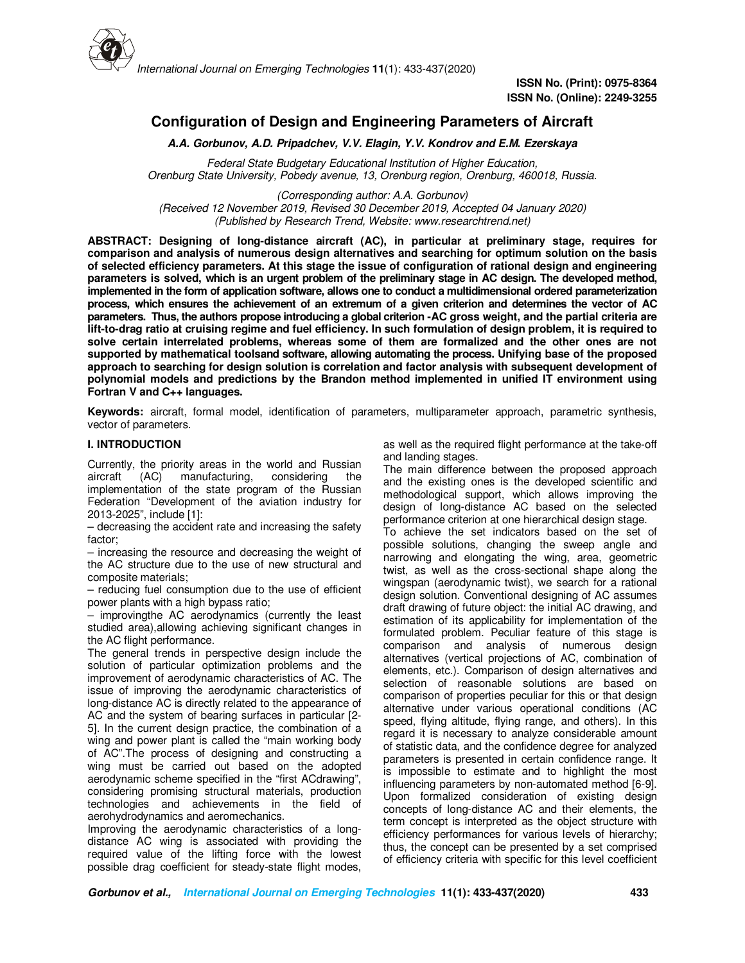

# **Configuration of Design and Engineering Parameters of Aircraft**

**A.A. Gorbunov, A.D. Pripadchev, V.V. Elagin, Y.V. Kondrov and E.M. Ezerskaya**

*Federal State Budgetary Educational Institution of Higher Education, Orenburg State University, Pobedy avenue, 13, Orenburg region, Orenburg, 460018, Russia.*

*(Corresponding author: A.A. Gorbunov) (Received 12 November 2019, Revised 30 December 2019, Accepted 04 January 2020) (Published by Research Trend, Website: www.researchtrend.net)* 

**ABSTRACT: Designing of long-distance aircraft (AC), in particular at preliminary stage, requires for comparison and analysis of numerous design alternatives and searching for optimum solution on the basis of selected efficiency parameters. At this stage the issue of configuration of rational design and engineering parameters is solved, which is an urgent problem of the preliminary stage in AC design. The developed method, implemented in the form of application software, allows one to conduct a multidimensional ordered parameterization process, which ensures the achievement of an extremum of a given criterion and determines the vector of AC parameters. Thus, the authors propose introducing a global criterion -AC gross weight, and the partial criteria are lift-to-drag ratio at cruising regime and fuel efficiency. In such formulation of design problem, it is required to solve certain interrelated problems, whereas some of them are formalized and the other ones are not supported by mathematical toolsand software, allowing automating the process. Unifying base of the proposed approach to searching for design solution is correlation and factor analysis with subsequent development of polynomial models and predictions by the Brandon method implemented in unified IT environment using Fortran V and C++ languages.** 

**Keywords:** aircraft, formal model, identification of parameters, multiparameter approach, parametric synthesis, vector of parameters.

### **I. INTRODUCTION**

Currently, the priority areas in the world and Russian aircraft (AC) manufacturing, considering the manufacturing, considering the implementation of the state program of the Russian Federation "Development of the aviation industry for 2013-2025", include [1]:

– decreasing the accident rate and increasing the safety factor;

– increasing the resource and decreasing the weight of the AC structure due to the use of new structural and composite materials;

– reducing fuel consumption due to the use of efficient power plants with a high bypass ratio;

– improvingthe AC aerodynamics (currently the least studied area),allowing achieving significant changes in the AC flight performance.

The general trends in perspective design include the solution of particular optimization problems and the improvement of aerodynamic characteristics of AC. The issue of improving the aerodynamic characteristics of long-distance AC is directly related to the appearance of AC and the system of bearing surfaces in particular [2- 5]. In the current design practice, the combination of a wing and power plant is called the "main working body of AC".The process of designing and constructing a wing must be carried out based on the adopted aerodynamic scheme specified in the "first ACdrawing", considering promising structural materials, production technologies and achievements in the field of aerohydrodynamics and aeromechanics.

Improving the aerodynamic characteristics of a longdistance AC wing is associated with providing the required value of the lifting force with the lowest possible drag coefficient for steady-state flight modes,

as well as the required flight performance at the take-off and landing stages.

The main difference between the proposed approach and the existing ones is the developed scientific and methodological support, which allows improving the design of long-distance AC based on the selected performance criterion at one hierarchical design stage.

To achieve the set indicators based on the set of possible solutions, changing the sweep angle and narrowing and elongating the wing, area, geometric twist, as well as the cross-sectional shape along the wingspan (aerodynamic twist), we search for a rational design solution. Conventional designing of AC assumes draft drawing of future object: the initial AC drawing, and estimation of its applicability for implementation of the formulated problem. Peculiar feature of this stage is comparison and analysis of numerous design alternatives (vertical projections of AC, combination of elements, etc.). Comparison of design alternatives and selection of reasonable solutions are based on comparison of properties peculiar for this or that design alternative under various operational conditions (AC speed, flying altitude, flying range, and others). In this regard it is necessary to analyze considerable amount of statistic data, and the confidence degree for analyzed parameters is presented in certain confidence range. It is impossible to estimate and to highlight the most influencing parameters by non-automated method [6-9]. Upon formalized consideration of existing design concepts of long-distance AC and their elements, the term concept is interpreted as the object structure with efficiency performances for various levels of hierarchy; thus, the concept can be presented by a set comprised of efficiency criteria with specific for this level coefficient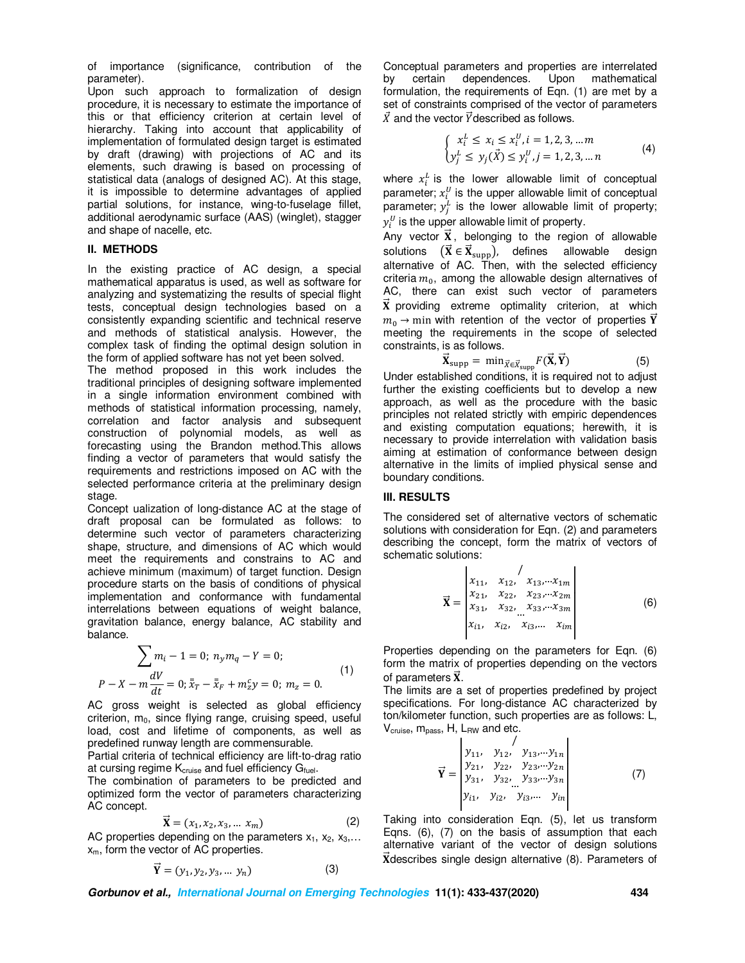of importance (significance, contribution of the parameter).

Upon such approach to formalization of design procedure, it is necessary to estimate the importance of this or that efficiency criterion at certain level of hierarchy. Taking into account that applicability of implementation of formulated design target is estimated by draft (drawing) with projections of AC and its elements, such drawing is based on processing of statistical data (analogs of designed AC). At this stage, it is impossible to determine advantages of applied partial solutions, for instance, wing-to-fuselage fillet, additional aerodynamic surface (AAS) (winglet), stagger and shape of nacelle, etc.

#### **II. METHODS**

In the existing practice of AC design, a special mathematical apparatus is used, as well as software for analyzing and systematizing the results of special flight tests, conceptual design technologies based on a consistently expanding scientific and technical reserve and methods of statistical analysis. However, the complex task of finding the optimal design solution in the form of applied software has not yet been solved.

The method proposed in this work includes the traditional principles of designing software implemented in a single information environment combined with methods of statistical information processing, namely, correlation and factor analysis and subsequent construction of polynomial models, as well as forecasting using the Brandon method.This allows finding a vector of parameters that would satisfy the requirements and restrictions imposed on AC with the selected performance criteria at the preliminary design stage.

Concept ualization of long-distance AC at the stage of draft proposal can be formulated as follows: to determine such vector of parameters characterizing shape, structure, and dimensions of AC which would meet the requirements and constrains to AC and achieve minimum (maximum) of target function. Design procedure starts on the basis of conditions of physical implementation and conformance with fundamental interrelations between equations of weight balance, gravitation balance, energy balance, AC stability and balance.

$$
\sum m_i - 1 = 0; \ n_y m_q - Y = 0; P - X - m \frac{dV}{dt} = 0; \bar{x}_T - \bar{x}_F + m_z^c y = 0; \ m_z = 0.
$$
 (1)

AC gross weight is selected as global efficiency criterion,  $m_0$ , since flying range, cruising speed, useful load, cost and lifetime of components, as well as predefined runway length are commensurable.

Partial criteria of technical efficiency are lift-to-drag ratio at cursing regime  $K_{cruise}$  and fuel efficiency  $G_{fuel}$ .

The combination of parameters to be predicted and optimized form the vector of parameters characterizing AC concept.

$$
\vec{\mathbf{X}} = (x_1, x_2, x_3, \dots, x_m) \tag{2}
$$

AC properties depending on the parameters  $x_1, x_2, x_3,...$  $x<sub>m</sub>$ , form the vector of AC properties.

$$
\vec{Y} = (y_1, y_2, y_3, \dots y_n)
$$
 (3)

Conceptual parameters and properties are interrelated by certain dependences. Upon mathematical formulation, the requirements of Eqn. (1) are met by a set of constraints comprised of the vector of parameters  $\vec{X}$  and the vector  $\vec{Y}$  described as follows.

$$
\begin{cases} x_i^L \le x_i \le x_i^U, i = 1, 2, 3, \dots m \\ y_j^L \le y_j(\vec{X}) \le y_i^U, j = 1, 2, 3, \dots n \end{cases}
$$
 (4)

where  $x_i^L$  is the lower allowable limit of conceptual parameter;  $x_i^U$  is the upper allowable limit of conceptual parameter;  $y_j^L$  is the lower allowable limit of property;  $y_i^U$  is the upper allowable limit of property.

Any vector  $\vec{x}$ , belonging to the region of allowable solutions  $(X \in X_{\text{supp}})$ , defines allowable design alternative of AC. Then, with the selected efficiency criteria  $m_0$ , among the allowable design alternatives of AC, there can exist such vector of parameters  $\vec{x}$  providing extreme optimality criterion, at which  $m_0 \rightarrow$  min with retention of the vector of properties Y meeting the requirements in the scope of selected constraints, is as follows.

$$
\vec{\mathbf{X}}_{\text{supp}} = \min_{\vec{\mathbf{X}} \in \vec{\mathbf{X}}_{\text{supp}}} F(\vec{\mathbf{X}}, \vec{\mathbf{Y}}) \tag{5}
$$

 ${\bf X}_{\rm supp} = \min_{\vec{{\bf X}} \in \vec{{\bf X}}_{\rm supp}} F({\bf X},{\bf Y})$ <br>Under established conditions, it is required not to adjust further the existing coefficients but to develop a new approach, as well as the procedure with the basic principles not related strictly with empiric dependences and existing computation equations; herewith, it is necessary to provide interrelation with validation basis aiming at estimation of conformance between design alternative in the limits of implied physical sense and boundary conditions.

#### **III. RESULTS**

The considered set of alternative vectors of schematic solutions with consideration for Eqn. (2) and parameters describing the concept, form the matrix of vectors of schematic solutions:

$$
\vec{\mathbf{X}} = \begin{vmatrix} x_{11}, & x_{12}, & x_{13}, \dots x_{1m} \\ x_{21}, & x_{22}, & x_{23}, \dots x_{2m} \\ x_{31}, & x_{32}, & x_{33}, \dots x_{3m} \\ x_{i1}, & x_{i2}, & x_{i3}, \dots & x_{im} \end{vmatrix} \tag{6}
$$

Properties depending on the parameters for Eqn. (6) form the matrix of properties depending on the vectors of parameters  $\vec{x}$ .

The limits are a set of properties predefined by project specifications. For long-distance AC characterized by ton/kilometer function, such properties are as follows: L, V<sub>cruise</sub>, m<sub>pass</sub>, H, L<sub>RW</sub> and etc.

$$
\vec{Y} = \begin{vmatrix}\ny_{11}, & y_{12}, & y_{13}, \dots y_{1n} \\
y_{21}, & y_{22}, & y_{23}, \dots y_{2n} \\
y_{31}, & y_{32}, & y_{33}, \dots y_{3n} \\
y_{i1}, & y_{i2}, & y_{i3}, \dots & y_{in}\n\end{vmatrix}
$$
(7)

Taking into consideration Eqn. (5), let us transform Eqns. (6), (7) on the basis of assumption that each alternative variant of the vector of design solutions  $\overline{X}$ describes single design alternative (8). Parameters of

**Gorbunov et al., International Journal on Emerging Technologies 11(1): 433-437(2020) 434**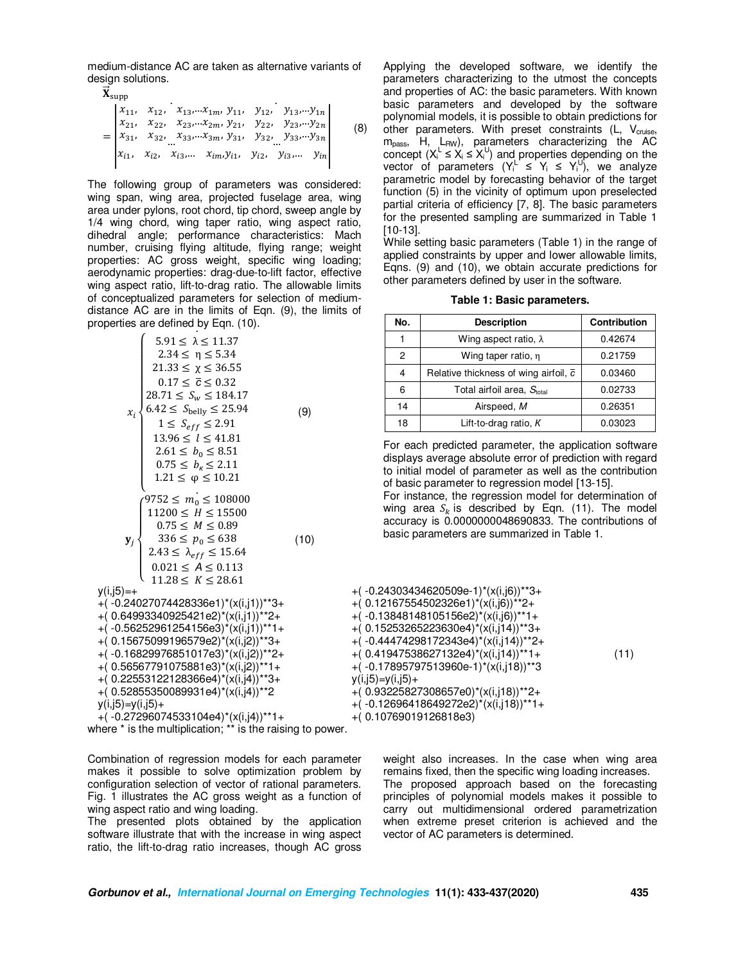medium-distance AC are taken as alternative variants of design solutions.

$$
\mathbf{X}_{\text{supp}}
$$
\n
$$
= \begin{vmatrix}\nx_{11}, & x_{12}, & x_{13}, \dots, x_{1m}, & y_{11}, & y_{12}, & y_{13}, \dots, y_{1n} \\
x_{21}, & x_{22}, & x_{23}, \dots, x_{2m}, & y_{21}, & y_{22}, & y_{23}, \dots, y_{2n} \\
x_{31}, & x_{32}, & x_{33}, \dots, x_{3m}, & y_{31}, & y_{32}, & y_{33}, \dots, y_{3n} \\
\vdots & \vdots & \vdots & \vdots & \vdots & \vdots \\
x_{i1}, & x_{i2}, & x_{i3}, \dots & x_{im}, & y_{i1}, & y_{i2}, & y_{i3}, \dots, & y_{in}\n\end{vmatrix}
$$
\n(8)

The following group of parameters was considered: wing span, wing area, projected fuselage area, wing area under pylons, root chord, tip chord, sweep angle by 1/4 wing chord, wing taper ratio, wing aspect ratio, dihedral angle; performance characteristics: Mach number, cruising flying altitude, flying range; weight properties: AC gross weight, specific wing loading; aerodynamic properties: drag-due-to-lift factor, effective wing aspect ratio, lift-to-drag ratio. The allowable limits of conceptualized parameters for selection of mediumdistance AC are in the limits of Eqn. (9), the limits of properties are defined by Eqn. (10). .

$$
5.91 \le \lambda \le 11.37
$$
  
\n
$$
2.34 \le \eta \le 5.34
$$
  
\n
$$
21.33 \le \chi \le 36.55
$$
  
\n
$$
0.17 \le \overline{c} \le 0.32
$$
  
\n
$$
28.71 \le S_w \le 184.17
$$
  
\n
$$
x_i \begin{cases}\n6.42 \le S_{\text{belly}} \le 25.94 \\
1 \le S_{eff} \le 2.91 \\
13.96 \le l \le 41.81 \\
2.61 \le b_0 \le 8.51 \\
0.75 \le b_k \le 2.11 \\
1.21 \le \varphi \le 10.21\n\end{cases}
$$
\n(9)  
\n
$$
\begin{cases}\n9752 \le m_0 \le 108000 \\
0.75 \le M \le 0.89 \\
336 \le p_0 \le 638 \\
2.43 \le \lambda_{eff} \le 15.64 \\
0.021 \le A \le 0.113 \\
11.28 \le K \le 28.61\n\end{cases}
$$
\n(10)  
\n
$$
x_i = 15.64
$$
\n(11)  
\n
$$
x_i = 15.64
$$
\n(120)  
\n
$$
x_i = 24027074428336e1^*(x(i,j1))^*34
$$
\n(13)

 $y(i,j5)$ 

 $+$ ( $-0$  $+$ (0. $\overline{6}$  $+$ ( $-0$ +(  $0.15675099196579e2$ )\*(x(i,j2))\*\*3+ +( -0.16829976851017e3)\*(x(i,j2))\*\*2+ +( 0.56567791075881e3)\*(x(i,j2))\*\*1+ +( 0.22553122128366e4)\*(x(i,j4))\*\*3+

+( 0.52855350089931e4)\*(x(i,j4))\*\*2

$$
y(i,j5) {=} y(i,j5) {+}
$$

 $+( -0.27296074533104e4)^*(x(i,j4))^{**}1+$ where \* is the multiplication; \*\* is the raising to power.

Combination of regression models for each parameter makes it possible to solve optimization problem by configuration selection of vector of rational parameters. Fig. 1 illustrates the AC gross weight as a function of wing aspect ratio and wing loading.

The presented plots obtained by the application software illustrate that with the increase in wing aspect ratio, the lift-to-drag ratio increases, though AC gross

Applying the developed software, we identify the parameters characterizing to the utmost the concepts and properties of AC: the basic parameters. With known basic parameters and developed by the software polynomial models, it is possible to obtain predictions for other parameters. With preset constraints  $(L, V_{\text{cruise}})$ m<sub>pass</sub>, H, L<sub>RW</sub>), parameters characterizing the AC concept  $(X_i^{\perp} \le X_i \le X_i^{\cup})$  and properties depending on the vector of parameters  $(Y_i^L \leq Y_i \leq Y_i^U)$ , we analyze parametric model by forecasting behavior of the target function (5) in the vicinity of optimum upon preselected partial criteria of efficiency [7, 8]. The basic parameters for the presented sampling are summarized in Table 1 [10-13].

While setting basic parameters (Table 1) in the range of applied constraints by upper and lower allowable limits, Eqns. (9) and (10), we obtain accurate predictions for other parameters defined by user in the software.

| No. | <b>Description</b>                                 | Contribution |  |
|-----|----------------------------------------------------|--------------|--|
|     | Wing aspect ratio, $\lambda$                       | 0.42674      |  |
| 2   | Wing taper ratio, n                                | 0.21759      |  |
|     | Relative thickness of wing airfoil, $\overline{c}$ | 0.03460      |  |
| 6   | Total airfoil area, Stotal                         | 0.02733      |  |
| 14  | Airspeed, M                                        | 0.26351      |  |
| 18  | Lift-to-drag ratio, $K$                            | 0.03023      |  |

**Table 1: Basic parameters.** 

For each predicted parameter, the application software displays average absolute error of prediction with regard to initial model of parameter as well as the contribution of basic parameter to regression model [13-15]. For instance, the regression model for determination of wing area  $S_k$  is described by Eqn. (11). The model accuracy is 0.0000000048690833. The contributions of basic parameters are summarized in Table 1.

+( -0.24303434620509e-1)\*(x(i,j6))\*\*3+ +( 0.12167554502326e1)\*(x(i,j6))\*\*2+ +( -0.13848148105156e2)\*(x(i,j6))\*\*1+ +( 0.15253265223630e4)\*(x(i,j14))\*\*3+ +( -0.44474298172343e4)\*(x(i,j14))\*\*2+ +( 0.41947538627132e4)\*(x(i,j14))\*\*1+ +( -0.17895797513960e-1)\*(x(i,j18))\*\*3  $y(i,j5)=y(i,j5)+$ +( 0.93225827308657e0)\*(x(i,j18))\*\*2+ +( -0.12696418649272e2)\*(x(i,j18))\*\*1+ +( 0.10769019126818e3) (11)

> weight also increases. In the case when wing area remains fixed, then the specific wing loading increases. The proposed approach based on the forecasting principles of polynomial models makes it possible to carry out multidimensional ordered parametrization when extreme preset criterion is achieved and the vector of AC parameters is determined.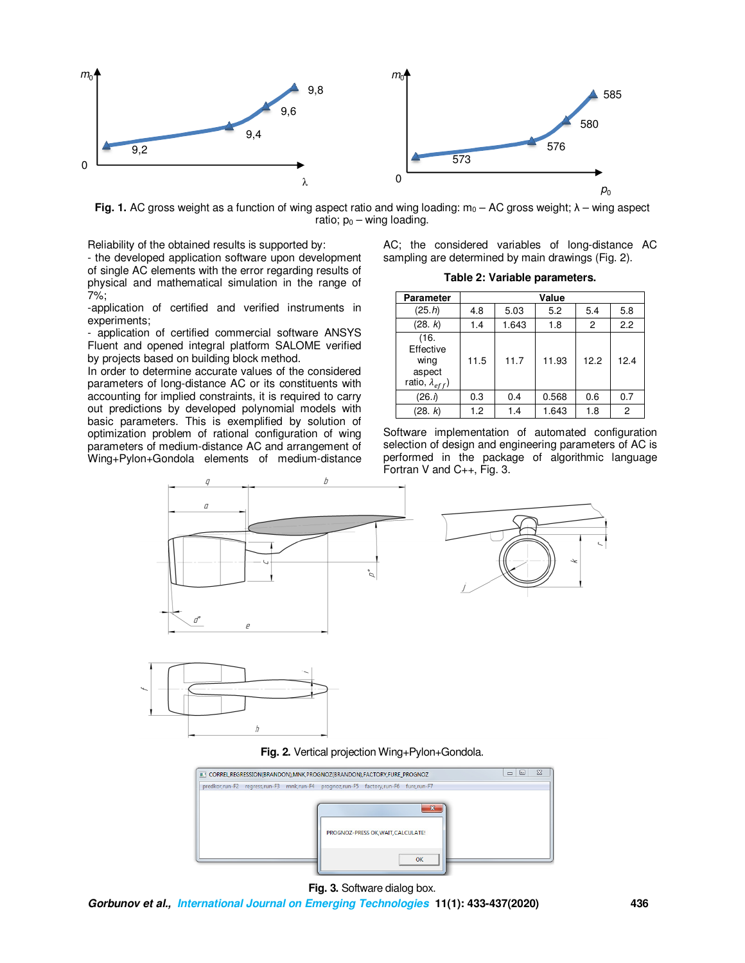

**Fig. 1.** AC gross weight as a function of wing aspect ratio and wing loading:  $m_0 - AC$  gross weight;  $\lambda$  – wing aspect ratio;  $p_0$  – wing loading.

Reliability of the obtained results is supported by:

- the developed application software upon development of single AC elements with the error regarding results of physical and mathematical simulation in the range of 7%;

-application of certified and verified instruments in experiments;

- application of certified commercial software ANSYS Fluent and opened integral platform SALOME verified by projects based on building block method.

In order to determine accurate values of the considered parameters of long-distance AC or its constituents with accounting for implied constraints, it is required to carry out predictions by developed polynomial models with basic parameters. This is exemplified by solution of optimization problem of rational configuration of wing parameters of medium-distance AC and arrangement of Wing+Pylon+Gondola elements of medium-distance

AC; the considered variables of long-distance AC sampling are determined by main drawings (Fig. 2).

**Table 2: Variable parameters.** 

| <b>Parameter</b>                                                | Value |       |       |                |      |
|-----------------------------------------------------------------|-------|-------|-------|----------------|------|
| (25.h)                                                          | 4.8   | 5.03  | 5.2   | 5.4            | 5.8  |
| (28. k)                                                         | 1.4   | 1.643 | 1.8   | $\overline{c}$ | 2.2  |
| (16.<br>Effective<br>wing<br>aspect<br>ratio, $\lambda_{eff}$ ) | 11.5  | 11.7  | 11.93 | 12.2           | 12.4 |
| (26.1)                                                          | 0.3   | 0.4   | 0.568 | 0.6            | 0.7  |
| (28. k)                                                         | 1.2   | 1.4   | 1.643 | 1.8            | 2    |

Software implementation of automated configuration selection of design and engineering parameters of AC is performed in the package of algorithmic language Fortran V and C++, Fig. 3.





**Fig. 2.** Vertical projection Wing+Pylon+Gondola.



**Fig. 3.** Software dialog box.

**Gorbunov et al., International Journal on Emerging Technologies 11(1): 433-437(2020) 436**